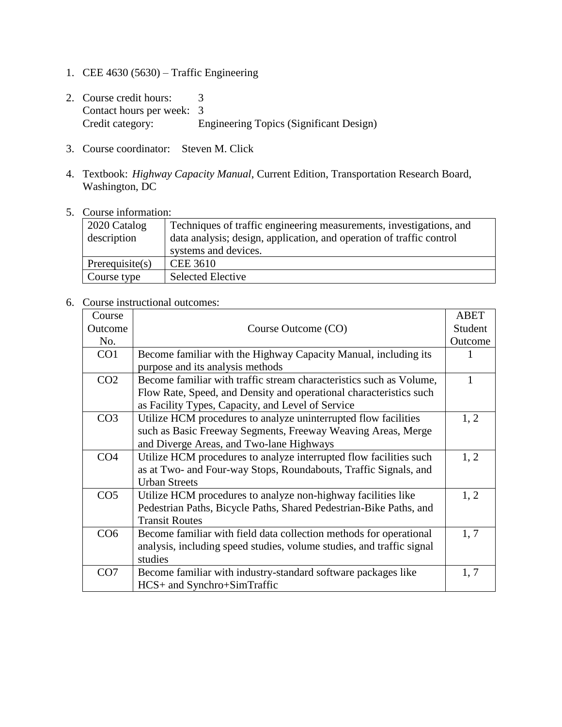- 1. CEE 4630 (5630) Traffic Engineering
- 2. Course credit hours: 3 Contact hours per week: 3<br>Credit category: E Engineering Topics (Significant Design)
- 3. Course coordinator: Steven M. Click
- 4. Textbook: *Highway Capacity Manual*, Current Edition, Transportation Research Board, Washington, DC
- 5. Course information:

| 2020 Catalog<br>description | Techniques of traffic engineering measurements, investigations, and<br>data analysis; design, application, and operation of traffic control<br>systems and devices. |
|-----------------------------|---------------------------------------------------------------------------------------------------------------------------------------------------------------------|
| Prerequisite(s)             | <b>CEE 3610</b>                                                                                                                                                     |
| Course type                 | <b>Selected Elective</b>                                                                                                                                            |

## 6. Course instructional outcomes:

| Course          |                                                                       | <b>ABET</b> |
|-----------------|-----------------------------------------------------------------------|-------------|
| Outcome         | Course Outcome (CO)                                                   | Student     |
| No.             |                                                                       | Outcome     |
| CO <sub>1</sub> | Become familiar with the Highway Capacity Manual, including its       |             |
|                 | purpose and its analysis methods                                      |             |
| CO <sub>2</sub> | Become familiar with traffic stream characteristics such as Volume,   |             |
|                 | Flow Rate, Speed, and Density and operational characteristics such    |             |
|                 | as Facility Types, Capacity, and Level of Service                     |             |
| CO <sub>3</sub> | Utilize HCM procedures to analyze uninterrupted flow facilities       | 1, 2        |
|                 | such as Basic Freeway Segments, Freeway Weaving Areas, Merge          |             |
|                 | and Diverge Areas, and Two-lane Highways                              |             |
| CO <sub>4</sub> | Utilize HCM procedures to analyze interrupted flow facilities such    | 1, 2        |
|                 | as at Two- and Four-way Stops, Roundabouts, Traffic Signals, and      |             |
|                 | <b>Urban Streets</b>                                                  |             |
| CO <sub>5</sub> | Utilize HCM procedures to analyze non-highway facilities like         | 1, 2        |
|                 | Pedestrian Paths, Bicycle Paths, Shared Pedestrian-Bike Paths, and    |             |
|                 | <b>Transit Routes</b>                                                 |             |
| CO6             | Become familiar with field data collection methods for operational    | 1, 7        |
|                 | analysis, including speed studies, volume studies, and traffic signal |             |
|                 | studies                                                               |             |
| CO7             | Become familiar with industry-standard software packages like         | 1, 7        |
|                 | HCS+ and Synchro+SimTraffic                                           |             |